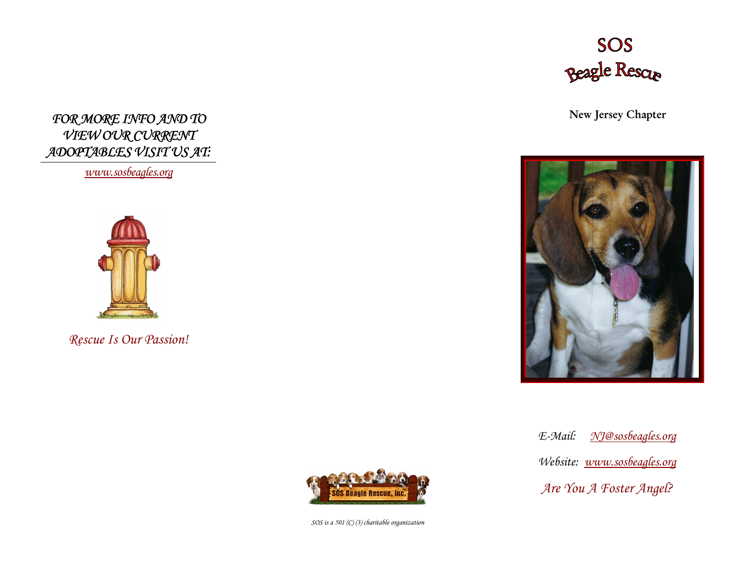

New Jersey Chapter



E-Mail: NJ@sosbeagles.orgWebsite: www.sosbeagles.org Are You A Foster Angel?

FOR MORE INFO AND TO VIEW OUR CURRENT ADOPTABLES VISIT US AT:

www.sosbeagles.org



Rescue Is Our Passion!



SOS is a 501 (C) (3) charitable organization